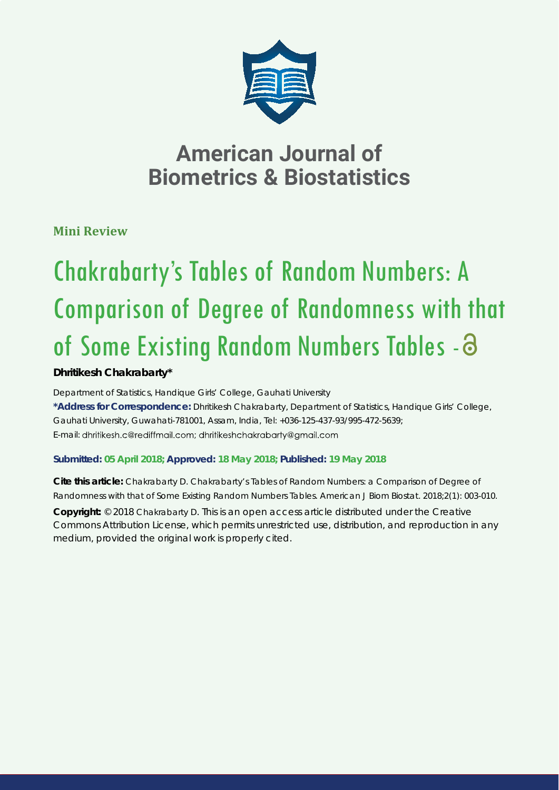

**Mini Review**

# Chakrabarty's Tables of Random Numbers: A Comparison of Degree of Randomness with that of Some Existing Random Numbers Tables - 3

# **Dhritikesh Chakrabarty\***

*Department of Statistics, Handique Girls' College, Gauhati University*  **\*Address for Correspondence:** Dhritikesh Chakrabarty, Department of Statistics, Handique Girls' College, Gauhati University, Guwahati-781001, Assam, India, Tel: +036-125-437-93/995-472-5639; E-mail: dhritikesh.c@rediffmail.com; dhritikeshchakrabarty@gmail.com

# **Submitted: 05 April 2018; Approved: 18 May 2018; Published: 19 May 2018**

**Cite this article:** Chakrabarty D. Chakrabarty's Tables of Random Numbers: a Comparison of Degree of Randomness with that of Some Existing Random Numbers Tables. American J Biom Biostat. 2018;2(1): 003-010.

**Copyright:** © 2018 Chakrabarty D. This is an open access article distributed under the Creative Commons Attribution License, which permits unrestricted use, distribution, and reproduction in any medium, provided the original work is properly cited.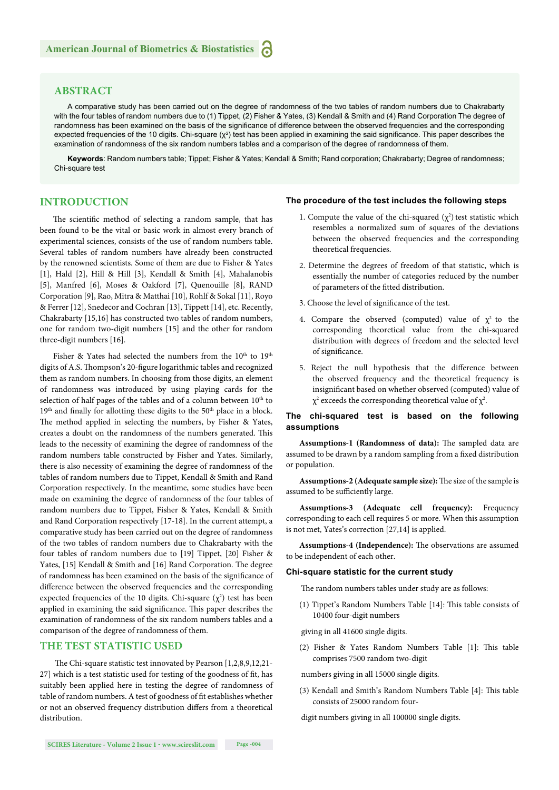### **ABSTRACT**

A comparative study has been carried out on the degree of randomness of the two tables of random numbers due to Chakrabarty with the four tables of random numbers due to (1) Tippet, (2) Fisher & Yates, (3) Kendall & Smith and (4) Rand Corporation The degree of randomness has been examined on the basis of the significance of difference between the observed frequencies and the corresponding expected frequencies of the 10 digits. Chi-square  $(\chi^2)$  test has been applied in examining the said significance. This paper describes the examination of randomness of the six random numbers tables and a comparison of the degree of randomness of them.

**Keywords**: Random numbers table; Tippet; Fisher & Yates; Kendall & Smith; Rand corporation; Chakrabarty; Degree of randomness; Chi-square test

### **INTRODUCTION**

The scientific method of selecting a random sample, that has been found to be the vital or basic work in almost every branch of experimental sciences, consists of the use of random numbers table. Several tables of random numbers have already been constructed by the renowned scientists. Some of them are due to Fisher & Yates [1], Hald [2], Hill & Hill [3], Kendall & Smith [4], Mahalanobis [5], Manfred [6], Moses & Oakford [7], Quenouille [8], RAND Corporation [9], Rao, Mitra & Matthai [10], Rohlf & Sokal [11], Royo & Ferrer [12], Snedecor and Cochran [13], Tippett [14], etc. Recently, Chakrabarty [15,16] has constructed two tables of random numbers, one for random two-digit numbers [15] and the other for random three-digit numbers [16].

Fisher & Yates had selected the numbers from the 10<sup>th</sup> to 19<sup>th</sup> digits of A.S. Thompson's 20-figure logarithmic tables and recognized them as random numbers. In choosing from those digits, an element of randomness was introduced by using playing cards for the selection of half pages of the tables and of a column between  $10<sup>th</sup>$  to  $19<sup>th</sup>$  and finally for allotting these digits to the 50<sup>th</sup> place in a block. The method applied in selecting the numbers, by Fisher & Yates, creates a doubt on the randomness of the numbers generated. This leads to the necessity of examining the degree of randomness of the random numbers table constructed by Fisher and Yates. Similarly, there is also necessity of examining the degree of randomness of the tables of random numbers due to Tippet, Kendall & Smith and Rand Corporation respectively. In the meantime, some studies have been made on examining the degree of randomness of the four tables of random numbers due to Tippet, Fisher & Yates, Kendall & Smith and Rand Corporation respectively [17-18]. In the current attempt, a comparative study has been carried out on the degree of randomness of the two tables of random numbers due to Chakrabarty with the four tables of random numbers due to [19] Tippet, [20] Fisher & Yates, [15] Kendall & Smith and [16] Rand Corporation. The degree of randomness has been examined on the basis of the significance of difference between the observed frequencies and the corresponding expected frequencies of the 10 digits. Chi-square  $(\chi^2)$  test has been applied in examining the said significance. This paper describes the examination of randomness of the six random numbers tables and a comparison of the degree of randomness of them.

### **THE TEST STATISTIC USED**

The Chi-square statistic test innovated by Pearson  $[1,2,8,9,12,21]$ 27] which is a test statistic used for testing of the goodness of fit, has suitably been applied here in testing the degree of randomness of table of random numbers. A test of goodness of fit establishes whether or not an observed frequency distribution differs from a theoretical distribution.

## **The procedure of the test includes the following steps**

- 1. Compute the value of the chi-squared  $(\chi^2)$  test statistic which resembles a normalized sum of squares of the deviations between the observed frequencies and the corresponding theoretical frequencies.
- 2. Determine the degrees of freedom of that statistic, which is essentially the number of categories reduced by the number of parameters of the fitted distribution.
- 3. Choose the level of significance of the test.
- 4. Compare the observed (computed) value of  $\chi^2$  to the corresponding theoretical value from the chi-squared distribution with degrees of freedom and the selected level of significance.
- 5. Reject the null hypothesis that the difference between the observed frequency and the theoretical frequency is insignificant based on whether observed (computed) value of  $\chi^2$  exceeds the corresponding theoretical value of  $\chi^2$ .

#### **The chi-squared test is based on the following assumptions**

Assumptions-1 (Randomness of data): The sampled data are assumed to be drawn by a random sampling from a fixed distribution or population.

Assumptions-2 (Adequate sample size): The size of the sample is assumed to be sufficiently large.

**Assumptions-3 (Adequate cell frequency):** Frequency corresponding to each cell requires 5 or more. When this assumption is not met, Yates's correction [27,14] is applied.

Assumptions-4 (Independence): The observations are assumed to be independent of each other.

#### **Chi-square statistic for the current study**

The random numbers tables under study are as follows:

(1) Tippet's Random Numbers Table [14]: This table consists of 10400 four-digit numbers

giving in all 41600 single digits.

(2) Fisher & Yates Random Numbers Table [1]: This table comprises 7500 random two-digit

numbers giving in all 15000 single digits.

(3) Kendall and Smith's Random Numbers Table [4]: This table consists of 25000 random four-

digit numbers giving in all 100000 single digits.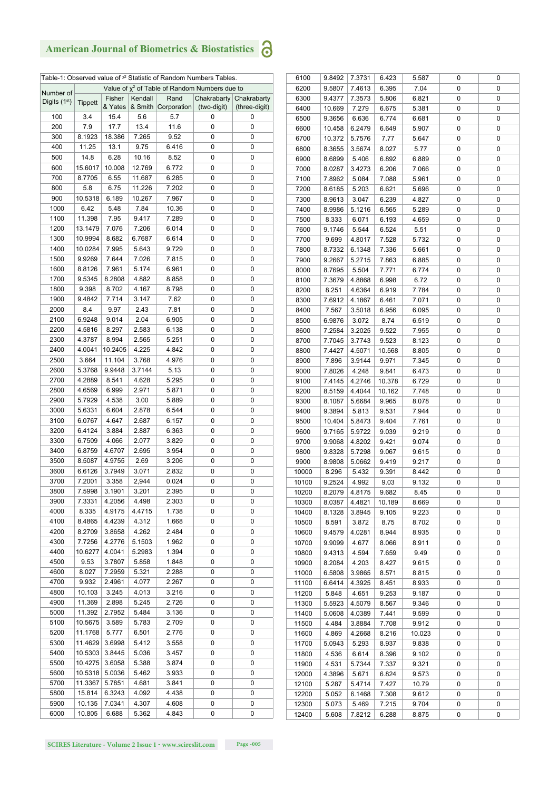|                |                |         |         |             | Table-1: Observed value of <sup>x2</sup> Statistic of Random Numbers Tables. |               |
|----------------|----------------|---------|---------|-------------|------------------------------------------------------------------------------|---------------|
| Number of      |                |         |         |             | Value of $x^2$ of Table of Random Numbers due to                             |               |
| Digits $(1st)$ | <b>Tippett</b> | Fisher  | Kendall | Rand        | Chakrabarty                                                                  | Chakrabarty   |
|                |                | & Yates | & Smith | Corporation | (two-digit)                                                                  | (three-digit) |
| 100            | 3.4            | 15.4    | 5.6     | 5.7         | 0                                                                            | 0             |
| 200            | 7.9            | 17.7    | 13.4    | 11.6        | 0                                                                            | 0             |
| 300            | 8.1923         | 18.386  | 7.265   | 9.52        | 0                                                                            | 0             |
| 400            | 11.25          | 13.1    | 9.75    | 6.416       | 0                                                                            | 0             |
| 500            | 14.8           | 6.28    | 10.16   | 8.52        | 0                                                                            | 0             |
| 600            | 15.6017        | 10.008  | 12.769  | 6.772       | 0                                                                            | 0             |
| 700            | 8.7705         | 6.55    | 11.687  | 6.285       | 0                                                                            | 0             |
| 800            | 5.8            | 6.75    | 11.226  | 7.202       | 0                                                                            | 0             |
| 900            | 10.5318        | 6.189   | 10.267  | 7.967       | 0                                                                            | 0             |
| 1000           | 6.42           | 5.48    | 7.84    | 10.36       | 0                                                                            | 0             |
| 1100           | 11.398         | 7.95    | 9.417   | 7.289       | 0                                                                            | 0             |
| 1200           | 13.1479        | 7.076   | 7.206   | 6.014       | 0                                                                            | 0             |
| 1300           | 10.9994        | 8.682   | 6.7687  | 6.614       | 0                                                                            | 0             |
| 1400           | 10.0284        | 7.995   | 5.643   | 9.729       | 0                                                                            | 0             |
| 1500           | 9.9269         | 7.644   | 7.026   | 7.815       | 0                                                                            | 0             |
| 1600           | 8.8126         | 7.961   | 5.174   | 6.961       | 0                                                                            | 0             |
| 1700           | 9.5345         | 8.2808  | 4.882   | 8.858       | 0                                                                            | 0             |
| 1800           | 9.398          | 8.702   | 4.167   | 8.798       | 0                                                                            | 0             |
| 1900           | 9.4842         | 7.714   | 3.147   | 7.62        | 0                                                                            | 0             |
| 2000           | 8.4            | 9.97    | 2.43    | 7.81        | 0                                                                            | 0             |
| 2100           | 6.9248         | 9.014   | 2.04    | 6.905       | 0                                                                            | 0             |
| 2200           | 4.5816         | 8.297   | 2.583   | 6.138       | 0                                                                            | 0             |
|                | 4.3787         | 8.994   |         | 5.251       | 0                                                                            | 0             |
| 2300           |                |         | 2.565   |             | 0                                                                            | 0             |
| 2400           | 4.0041         | 10.2405 | 4.225   | 4.842       |                                                                              |               |
| 2500           | 3.664          | 11.104  | 3.768   | 4.976       | 0                                                                            | 0             |
| 2600           | 5.3768         | 9.9448  | 3.7144  | 5.13        | 0                                                                            | 0             |
| 2700           | 4.2889         | 8.541   | 4.628   | 5.295       | 0                                                                            | 0             |
| 2800           | 4.6569         | 6.999   | 2.971   | 5.871       | 0                                                                            | 0             |
| 2900           | 5.7929         | 4.538   | 3.00    | 5.889       | 0                                                                            | 0             |
| 3000           | 5.6331         | 6.604   | 2.878   | 6.544       | 0                                                                            | 0             |
| 3100           | 6.0767         | 4.647   | 2.687   | 6.157       | 0                                                                            | 0             |
| 3200           | 6.4124         | 3.884   | 2.887   | 6.363       | 0                                                                            | 0             |
| 3300           | 6.7509         | 4.066   | 2.077   | 3.829       | 0                                                                            | 0             |
| 3400           | 6.8759         | 4.6707  | 2.695   | 3.954       | 0                                                                            | 0             |
| 3500           | 8.5087         | 4.9755  | 2.69    | 3.206       | 0                                                                            | 0             |
| 3600           | 6.6126         | 3.7949  | 3.071   | 2.832       | 0                                                                            | 0             |
| 3700           | 7.2001         | 3.358   | 2,944   | 0.024       | 0                                                                            | 0             |
| 3800           | 7.5998         | 3.1901  | 3.201   | 2.395       | 0                                                                            | 0             |
| 3900           | 7.3331         | 4.2056  | 4.498   | 2.303       | 0                                                                            | 0             |
| 4000           | 8.335          | 4.9175  | 4.4715  | 1.738       | 0                                                                            | 0             |
| 4100           | 8.4865         | 4.4239  | 4.312   | 1.668       | 0                                                                            | 0             |
| 4200           | 8.2709         | 3.8658  | 4.262   | 2.484       | 0                                                                            | 0             |
| 4300           | 7.7256         | 4.2776  | 5.1503  | 1.962       | 0                                                                            | 0             |
| 4400           | 10.6277        | 4.0041  | 5.2983  | 1.394       | 0                                                                            | 0             |
| 4500           | 9.53           | 3.7807  | 5.858   | 1.848       | 0                                                                            | 0             |
| 4600           | 8.027          | 7.2959  | 5.321   | 2.288       | 0                                                                            | 0             |
| 4700           | 9.932          | 2.4961  | 4.077   | 2.267       | 0                                                                            | 0             |
| 4800           | 10.103         | 3.245   | 4.013   | 3.216       | 0                                                                            | 0             |
| 4900           | 11.369         | 2.898   | 5.245   | 2.726       | 0                                                                            | 0             |
| 5000           | 11.392         | 2.7952  | 5.484   | 3.136       | 0                                                                            | 0             |
| 5100           | 10.5675        | 3.589   | 5.783   | 2.709       | 0                                                                            | 0             |
| 5200           | 11.1768        | 5.777   | 6.501   | 2.776       | 0                                                                            | 0             |
| 5300           | 11.4629        | 3.6998  | 5.412   | 3.558       | 0                                                                            | 0             |
| 5400           | 10.5303        | 3.8445  | 5.036   | 3.457       | 0                                                                            | 0             |
| 5500           | 10.4275        | 3.6058  | 5.388   | 3.874       | 0                                                                            | 0             |
| 5600           | 10.5318        | 5.0036  | 5.462   | 3.933       | 0                                                                            | 0             |
| 5700           | 11.3367        | 5.7851  | 4.681   | 3.841       | 0                                                                            | 0             |
|                |                |         |         |             | 0                                                                            |               |
| 5800           | 15.814         | 6.3243  | 4.092   | 4.438       |                                                                              | 0             |
| 5900           | 10.135         | 7.0341  | 4.307   | 4.608       | 0                                                                            | 0             |
| 6000           | 10.805         | 6.688   | 5.362   | 4.843       | 0                                                                            | 0             |

| 6100  | 9.8492 | 7.3731 | 6.423  | 5.587  | 0 | 0 |
|-------|--------|--------|--------|--------|---|---|
| 6200  | 9.5807 | 7.4613 | 6.395  | 7.04   | 0 | 0 |
| 6300  | 9.4377 | 7.3573 | 5.806  | 6.821  | 0 | 0 |
| 6400  | 10.669 | 7.279  | 6.675  | 5.381  | 0 | 0 |
| 6500  | 9.3656 | 6.636  | 6.774  | 6.681  | 0 | 0 |
| 6600  | 10.458 | 6.2479 | 6.649  | 5.907  | 0 | 0 |
| 6700  | 10.372 | 5.7576 | 7.77   | 5.647  | 0 | 0 |
| 6800  | 8.3655 | 3.5674 | 8.027  | 5.77   | 0 | 0 |
| 6900  | 8.6899 | 5.406  | 6.892  | 6.889  | 0 | 0 |
| 7000  | 8.0287 | 3.4273 | 6.206  | 7.066  | 0 | 0 |
| 7100  | 7.8962 | 5.084  | 7.088  | 5.961  | 0 | 0 |
| 7200  | 8.6185 | 5.203  | 6.621  | 5.696  | 0 | 0 |
| 7300  | 8.9613 | 3.047  | 6.239  | 4.827  | 0 | 0 |
| 7400  | 8.9986 | 5.1216 | 6.565  | 5.289  | 0 | 0 |
| 7500  | 8.333  | 6.071  | 6.193  | 4.659  | 0 | 0 |
| 7600  | 9.1746 | 5.544  | 6.524  | 5.51   | 0 | 0 |
| 7700  | 9.699  | 4.8017 | 7.528  | 5.732  | 0 | 0 |
|       |        |        |        |        |   |   |
| 7800  | 8.7332 | 6.1348 | 7.336  | 5.661  | 0 | 0 |
| 7900  | 9.2667 | 5.2715 | 7.863  | 6.885  | 0 | 0 |
| 8000  | 8.7695 | 5.504  | 7.771  | 6.774  | 0 | 0 |
| 8100  | 7.3679 | 4.8868 | 6.998  | 6.72   | 0 | 0 |
| 8200  | 8.251  | 4.6364 | 6.919  | 7.784  | 0 | 0 |
| 8300  | 7.6912 | 4.1867 | 6.461  | 7.071  | 0 | 0 |
| 8400  | 7.567  | 3.5018 | 6.956  | 6.095  | 0 | 0 |
| 8500  | 6.9876 | 3.072  | 8.74   | 6.519  | 0 | 0 |
| 8600  | 7.2584 | 3.2025 | 9.522  | 7.955  | 0 | 0 |
| 8700  | 7.7045 | 3.7743 | 9.523  | 8.123  | 0 | 0 |
| 8800  | 7.4427 | 4.5071 | 10.568 | 8.805  | 0 | 0 |
| 8900  | 7.896  | 3.9144 | 9.971  | 7.345  | 0 | 0 |
| 9000  | 7.8026 | 4.248  | 9.841  | 6.473  | 0 | 0 |
| 9100  | 7.4145 | 4.2746 | 10.378 | 6.729  | 0 | 0 |
| 9200  | 8.5159 | 4.4044 | 10.162 | 7,748  | 0 | 0 |
| 9300  | 8.1087 | 5.6684 | 9.965  | 8.078  | 0 | 0 |
| 9400  | 9.3894 | 5.813  | 9.531  | 7.944  | 0 | 0 |
| 9500  | 10.404 | 5.8473 | 9.404  | 7.761  | 0 | 0 |
| 9600  | 9.7165 | 5.9722 | 9.039  | 9.219  | 0 | 0 |
| 9700  | 9.9068 | 4.8202 | 9.421  | 9.074  | 0 | 0 |
| 9800  | 9.8328 | 5.7298 | 9.067  | 9.615  | 0 | 0 |
| 9900  | 8.9808 | 5.0662 | 9.419  | 9.217  | 0 | 0 |
| 10000 | 8.296  | 5.432  | 9.391  | 8.442  | 0 | 0 |
| 10100 | 9.2524 | 4.992  | 9.03   | 9.132  | 0 | 0 |
| 10200 | 8.2079 | 4.8175 | 9.682  | 8.45   | 0 | 0 |
| 10300 | 8.0387 | 4.4821 | 10.189 | 8.669  | 0 | 0 |
| 10400 | 8.1328 | 3.8945 | 9.105  | 9.223  | 0 | 0 |
| 10500 | 8.591  | 3.872  | 8.75   | 8.702  | 0 | 0 |
| 10600 | 9.4579 | 4.0281 | 8.944  | 8.935  | 0 | 0 |
| 10700 | 9.9099 | 4.677  | 8.066  | 8.911  | 0 | 0 |
| 10800 | 9.4313 | 4.594  | 7.659  | 9.49   | 0 | 0 |
| 10900 | 8.2084 | 4.203  | 8.427  | 9.615  | 0 | 0 |
| 11000 | 6.5808 | 3.9865 | 8.571  | 8.815  | 0 | 0 |
| 11100 | 6.6414 | 4.3925 | 8.451  | 8.933  | 0 | 0 |
| 11200 | 5.848  | 4.651  | 9.253  | 9.187  | 0 | 0 |
|       | 5.5923 |        | 8.567  | 9.346  | 0 | 0 |
| 11300 |        | 4.5079 |        |        |   |   |
| 11400 | 5.0608 | 4.0389 | 7.441  | 9.599  | 0 | 0 |
| 11500 | 4.484  | 3.8884 | 7.708  | 9.912  | 0 | 0 |
| 11600 | 4.869  | 4.2668 | 8.216  | 10.023 | 0 | 0 |
| 11700 | 5.0943 | 5.293  | 8.937  | 9.838  | 0 | 0 |
| 11800 | 4.536  | 6.614  | 8.396  | 9.102  | 0 | 0 |
| 11900 | 4.531  | 5.7344 | 7.337  | 9.321  | 0 | 0 |
| 12000 | 4.3896 | 5.671  | 6.824  | 9.573  | 0 | 0 |
| 12100 | 5.287  | 5.4714 | 7.427  | 10.79  | 0 | 0 |
| 12200 | 5.052  | 6.1468 | 7.308  | 9.612  | 0 | 0 |
| 12300 | 5.073  | 5.469  | 7.215  | 9.704  | 0 | 0 |
| 12400 | 5.608  | 7.8212 | 6.288  | 8.875  | 0 | 0 |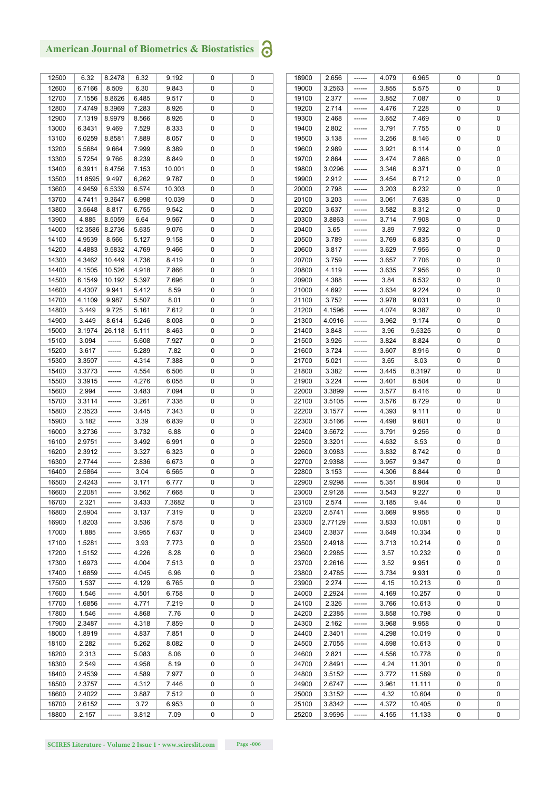| 12500 | 6.32    | 8.2478 | 6.32  | 9.192  | 0 | 0 |
|-------|---------|--------|-------|--------|---|---|
| 12600 | 6.7166  | 8.509  | 6.30  | 9.843  | 0 | 0 |
| 12700 | 7.1556  | 8.8626 | 6.485 | 9.517  | 0 | 0 |
| 12800 | 7.4749  | 8.3969 | 7.283 | 8.926  | 0 | 0 |
| 12900 | 7.1319  | 8.9979 | 8.566 | 8.926  | 0 | 0 |
| 13000 | 6.3431  | 9.469  | 7.529 | 8.333  | 0 | 0 |
| 13100 | 6.0259  | 8.8581 | 7.889 | 8.057  | 0 | 0 |
| 13200 | 5.5684  | 9.664  | 7.999 | 8.389  | 0 | 0 |
|       |         |        |       |        |   |   |
| 13300 | 5.7254  | 9.766  | 8.239 | 8.849  | 0 | 0 |
| 13400 | 6.3911  | 8.4756 | 7.153 | 10.001 | 0 | 0 |
| 13500 | 11.8595 | 9.497  | 6,262 | 9.787  | 0 | 0 |
| 13600 | 4.9459  | 6.5339 | 6.574 | 10.303 | 0 | 0 |
| 13700 | 4.7411  | 9.3647 | 6.998 | 10.039 | 0 | 0 |
| 13800 | 3.5648  | 8.817  | 6.755 | 9.542  | 0 | 0 |
| 13900 | 4.885   | 8.5059 | 6.64  | 9.567  | 0 | 0 |
| 14000 | 12.3586 | 8.2736 | 5.635 | 9.076  | 0 | 0 |
| 14100 | 4.9539  | 8.566  |       |        |   | 0 |
|       |         |        | 5.127 | 9.158  | 0 |   |
| 14200 | 4.4883  | 9.5832 | 4.769 | 9.466  | 0 | 0 |
| 14300 | 4.3462  | 10.449 | 4.736 | 8.419  | 0 | 0 |
| 14400 | 4.1505  | 10.526 | 4.918 | 7.866  | 0 | 0 |
| 14500 | 6.1549  | 10.192 | 5.397 | 7.696  | 0 | 0 |
| 14600 | 4.4307  | 9.941  | 5.412 | 8.59   | 0 | 0 |
| 14700 | 4.1109  | 9.987  | 5.507 | 8.01   | 0 | 0 |
| 14800 | 3.449   | 9.725  | 5.161 | 7.612  | 0 | 0 |
|       |         |        |       |        |   |   |
| 14900 | 3.449   | 8.614  | 5.246 | 8.008  | 0 | 0 |
| 15000 | 3.1974  | 26.118 | 5.111 | 8.463  | 0 | 0 |
| 15100 | 3.094   |        | 5.608 | 7.927  | 0 | 0 |
| 15200 | 3.617   |        | 5.289 | 7.82   | 0 | 0 |
| 15300 | 3.3507  |        | 4.314 | 7.388  | 0 | 0 |
| 15400 | 3.3773  |        | 4.554 | 6.506  | 0 | 0 |
| 15500 | 3.3915  |        | 4.276 | 6.058  | 0 | 0 |
| 15600 | 2.994   |        | 3.483 | 7.094  | 0 | 0 |
|       |         |        |       |        |   |   |
| 15700 | 3.3114  |        | 3.261 | 7.338  | 0 | 0 |
| 15800 | 2.3523  |        | 3.445 | 7.343  | 0 | 0 |
| 15900 | 3.182   |        | 3.39  | 6.839  | 0 | 0 |
| 16000 | 3.2736  |        | 3.732 | 6.88   | 0 | 0 |
| 16100 | 2.9751  |        | 3.492 | 6.991  | 0 | 0 |
| 16200 | 2.3912  |        | 3.327 | 6.323  | 0 | 0 |
| 16300 | 2.7744  |        | 2.836 | 6.673  | 0 | 0 |
| 16400 | 2.5864  |        | 3.04  | 6.565  | 0 | 0 |
| 16500 | 2.4243  | ------ | 3.171 | 6.777  | 0 | 0 |
|       |         |        |       |        |   |   |
| 16600 | 2.2081  |        | 3.562 | 7.668  | 0 | 0 |
| 16700 | 2.321   |        | 3.433 | 7.3682 | 0 | 0 |
| 16800 | 2,5904  |        | 3.137 | 7.319  | 0 | 0 |
| 16900 | 1.8203  |        | 3.536 | 7.578  | 0 | 0 |
| 17000 | 1.885   |        | 3.955 | 7.637  | 0 | 0 |
| 17100 | 1.5281  |        | 3.93  | 7.773  | 0 | 0 |
| 17200 | 1.5152  |        | 4.226 | 8.28   | 0 | 0 |
| 17300 | 1.6973  |        | 4.004 | 7.513  | 0 | 0 |
|       |         |        |       |        |   |   |
| 17400 | 1.6859  |        | 4.045 | 6.96   | 0 | 0 |
| 17500 | 1.537   |        | 4.129 | 6.765  | 0 | 0 |
| 17600 | 1.546   |        | 4.501 | 6.758  | 0 | 0 |
| 17700 | 1.6856  |        | 4.771 | 7.219  | 0 | 0 |
| 17800 | 1.546   |        | 4.868 | 7.76   | 0 | 0 |
| 17900 | 2.3487  |        | 4.318 | 7.859  | 0 | 0 |
| 18000 | 1.8919  |        | 4.837 | 7.851  | 0 | 0 |
| 18100 | 2.282   |        | 5.262 | 8.082  | 0 | 0 |
| 18200 | 2.313   |        | 5.083 | 8.06   | 0 | 0 |
|       |         |        |       |        |   |   |
| 18300 | 2.549   |        | 4.958 | 8.19   | 0 | 0 |
| 18400 | 2.4539  |        | 4.589 | 7.977  | 0 | 0 |
| 18500 | 2.3757  |        | 4.312 | 7.446  | 0 | 0 |
| 18600 | 2.4022  |        | 3.887 | 7.512  | 0 | 0 |
| 18700 | 2.6152  |        | 3.72  | 6.953  | 0 | 0 |
| 18800 | 2.157   |        | 3.812 | 7.09   | 0 | 0 |
|       |         |        |       |        |   |   |

| 18900 | 2.656   |        | 4.079 | 6.965  | 0 | 0 |
|-------|---------|--------|-------|--------|---|---|
| 19000 | 3.2563  |        | 3.855 | 5.575  | 0 | 0 |
| 19100 | 2.377   |        | 3.852 | 7.087  | 0 | 0 |
| 19200 | 2.714   |        | 4.476 | 7.228  | 0 | 0 |
| 19300 | 2.468   |        | 3.652 | 7.469  | 0 | 0 |
| 19400 | 2.802   |        | 3.791 | 7.755  | 0 | 0 |
| 19500 | 3.138   |        | 3.256 | 8.146  | 0 | 0 |
|       |         |        |       |        |   |   |
| 19600 | 2.989   |        | 3.921 | 8.114  | 0 | 0 |
| 19700 | 2.864   |        | 3.474 | 7.868  | 0 | 0 |
| 19800 | 3.0296  |        | 3.346 | 8.371  | 0 | 0 |
| 19900 | 2.912   |        | 3.454 | 8.712  | 0 | 0 |
| 20000 | 2.798   |        | 3.203 | 8.232  | 0 | 0 |
| 20100 | 3.203   |        | 3.061 | 7.638  | 0 | 0 |
| 20200 | 3.637   |        | 3.582 | 8.312  | 0 | 0 |
| 20300 | 3.8863  |        | 3.714 | 7.908  | 0 | 0 |
| 20400 | 3.65    |        | 3.89  | 7.932  | 0 | 0 |
| 20500 | 3.789   |        | 3.769 | 6.835  | 0 | 0 |
| 20600 | 3.817   |        | 3.629 | 7.956  | 0 | 0 |
| 20700 | 3.759   | ------ | 3.657 | 7.706  | 0 | 0 |
| 20800 | 4.119   |        | 3.635 | 7.956  | 0 | 0 |
| 20900 | 4.388   |        | 3.84  | 8.532  | 0 | 0 |
| 21000 | 4.692   |        | 3.634 | 9.224  | 0 | 0 |
| 21100 | 3.752   |        | 3.978 | 9.031  | 0 | 0 |
| 21200 | 4.1596  |        | 4.074 | 9.387  | 0 | 0 |
| 21300 | 4.0916  | ------ | 3.962 | 9.174  | 0 | 0 |
|       |         |        |       |        |   |   |
| 21400 | 3.848   |        | 3.96  | 9.5325 | 0 | 0 |
| 21500 | 3.926   |        | 3.824 | 8.824  | 0 | 0 |
| 21600 | 3.724   |        | 3.607 | 8.916  | 0 | 0 |
| 21700 | 5.021   |        | 3.65  | 8.03   | 0 | 0 |
| 21800 | 3.382   |        | 3.445 | 8.3197 | 0 | 0 |
| 21900 | 3.224   |        | 3.401 | 8.504  | 0 | 0 |
| 22000 | 3.3899  |        | 3.577 | 8.416  | 0 | 0 |
| 22100 | 3.5105  |        | 3.576 | 8.729  | 0 | 0 |
| 22200 | 3.1577  |        | 4.393 | 9.111  | 0 | 0 |
| 22300 | 3.5166  |        | 4.498 | 9.601  | 0 | 0 |
| 22400 | 3.5672  |        | 3.791 | 9.256  | 0 | 0 |
| 22500 | 3.3201  |        | 4.632 | 8.53   | 0 | 0 |
| 22600 | 3.0983  |        | 3.832 | 8.742  | 0 | 0 |
| 22700 | 2.9388  |        | 3.957 | 9.347  | 0 | 0 |
| 22800 | 3.153   |        | 4.306 | 8.844  | 0 | 0 |
| 22900 | 2.9298  | ------ | 5.351 | 8.904  | 0 | 0 |
| 23000 | 2.9128  |        | 3.543 | 9.227  | 0 | 0 |
| 23100 | 2.574   |        | 3.185 | 9.44   | 0 | 0 |
| 23200 | 2.5741  |        | 3.669 | 9.958  | 0 | 0 |
| 23300 | 2.77129 |        | 3.833 | 10.081 | 0 | 0 |
|       | 2.3837  |        |       |        | 0 | 0 |
| 23400 |         |        | 3.649 | 10.334 |   |   |
| 23500 | 2.4918  |        | 3.713 | 10.214 | 0 | 0 |
| 23600 | 2.2985  |        | 3.57  | 10.232 | 0 | 0 |
| 23700 | 2.2616  |        | 3.52  | 9.951  | 0 | 0 |
| 23800 | 2.4785  |        | 3.734 | 9.931  | 0 | 0 |
| 23900 | 2.274   |        | 4.15  | 10.213 | 0 | 0 |
| 24000 | 2.2924  |        | 4.169 | 10.257 | 0 | 0 |
| 24100 | 2.326   |        | 3.766 | 10.613 | 0 | 0 |
| 24200 | 2.2385  |        | 3.858 | 10.798 | 0 | 0 |
| 24300 | 2.162   |        | 3.968 | 9.958  | 0 | 0 |
| 24400 | 2.3401  |        | 4.298 | 10.019 | 0 | 0 |
| 24500 | 2.7055  |        | 4.698 | 10.613 | 0 | 0 |
| 24600 | 2.821   |        | 4.556 | 10.778 | 0 | 0 |
| 24700 | 2.8491  |        | 4.24  | 11.301 | 0 | 0 |
| 24800 | 3.5152  |        | 3.772 | 11.589 | 0 | 0 |
| 24900 | 2.6747  |        | 3.961 | 11.111 | 0 | 0 |
| 25000 | 3.3152  |        | 4.32  | 10.604 | 0 | 0 |
| 25100 | 3.8342  |        | 4.372 | 10.405 | 0 | 0 |
| 25200 | 3.9595  |        | 4.155 | 11.133 | 0 | 0 |
|       |         |        |       |        |   |   |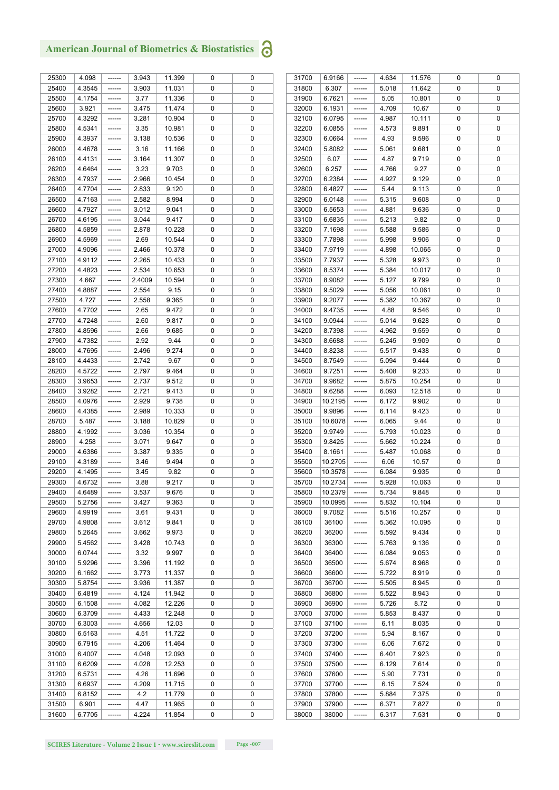| 25300 | 4.098  | ------ | 3.943  | 11.399 | 0 | 0 |
|-------|--------|--------|--------|--------|---|---|
| 25400 | 4.3545 |        | 3.903  | 11.031 | 0 | 0 |
| 25500 | 4.1754 |        | 3.77   | 11.336 | 0 | 0 |
| 25600 | 3.921  |        | 3.475  | 11.474 | 0 | 0 |
| 25700 | 4.3292 |        | 3.281  | 10.904 | 0 | 0 |
| 25800 | 4.5341 |        | 3.35   | 10.981 | 0 | 0 |
| 25900 | 4.3937 |        | 3.138  | 10.536 | 0 | 0 |
| 26000 | 4.4678 |        | 3.16   | 11.166 | 0 | 0 |
|       |        |        |        |        |   |   |
| 26100 | 4.4131 |        | 3.164  | 11.307 | 0 | 0 |
| 26200 | 4.6464 |        | 3.23   | 9.703  | 0 | 0 |
| 26300 | 4.7937 |        | 2.966  | 10.454 | 0 | 0 |
| 26400 | 4.7704 |        | 2.833  | 9.120  | 0 | 0 |
| 26500 | 4.7163 |        | 2.582  | 8.994  | 0 | 0 |
| 26600 | 4.7927 |        | 3.012  | 9.041  | 0 | 0 |
| 26700 | 4.6195 |        | 3.044  | 9.417  | 0 | 0 |
| 26800 | 4.5859 |        | 2.878  | 10.228 | 0 | 0 |
| 26900 | 4.5969 |        | 2.69   | 10.544 | 0 | 0 |
| 27000 | 4.9096 |        | 2.466  | 10.378 | 0 | 0 |
| 27100 | 4.9112 |        | 2.265  | 10.433 | 0 | 0 |
| 27200 | 4.4823 |        | 2.534  | 10.653 | 0 | 0 |
| 27300 | 4.667  |        | 2.4009 | 10.594 | 0 | 0 |
| 27400 | 4.8887 |        | 2.554  | 9.15   | 0 | 0 |
| 27500 | 4.727  |        | 2.558  | 9.365  | 0 | 0 |
| 27600 | 4.7702 |        | 2.65   | 9.472  | 0 | 0 |
| 27700 | 4.7248 |        | 2.60   | 9.817  | 0 | 0 |
|       |        |        |        |        |   |   |
| 27800 | 4.8596 |        | 2.66   | 9.685  | 0 | 0 |
| 27900 | 4.7382 |        | 2.92   | 9.44   | 0 | 0 |
| 28000 | 4.7695 |        | 2.496  | 9.274  | 0 | 0 |
| 28100 | 4.4433 |        | 2.742  | 9.67   | 0 | 0 |
| 28200 | 4.5722 |        | 2.797  | 9.464  | 0 | 0 |
| 28300 | 3.9653 |        | 2.737  | 9.512  | 0 | 0 |
| 28400 | 3.9282 |        | 2.721  | 9.413  | 0 | 0 |
| 28500 | 4.0976 |        | 2.929  | 9.738  | 0 | 0 |
| 28600 | 4.4385 |        | 2.989  | 10.333 | 0 | 0 |
| 28700 | 5.487  |        | 3.188  | 10.829 | 0 | 0 |
| 28800 | 4.1992 |        | 3.036  | 10.354 | 0 | 0 |
| 28900 | 4.258  |        | 3.071  | 9.647  | 0 | 0 |
| 29000 | 4.6386 |        | 3.387  | 9.335  | 0 | 0 |
| 29100 | 4.3189 |        | 3.46   | 9.494  | 0 | 0 |
| 29200 | 4.1495 |        | 3.45   | 9.82   | 0 | 0 |
| 29300 | 4.6732 |        | 3.88   | 9.217  | 0 | 0 |
|       |        |        |        |        |   |   |
| 29400 | 4.6489 |        | 3.537  | 9.676  | 0 | 0 |
| 29500 | 5.2756 |        | 3.427  | 9.363  | 0 | 0 |
| 29600 | 4.9919 |        | 3.61   | 9.431  | 0 | 0 |
| 29700 | 4.9808 |        | 3.612  | 9.841  | 0 | 0 |
| 29800 | 5.2645 |        | 3.662  | 9.973  | 0 | 0 |
| 29900 | 5.4562 |        | 3.428  | 10.743 | 0 | 0 |
| 30000 | 6.0744 |        | 3.32   | 9.997  | 0 | 0 |
| 30100 | 5.9296 |        | 3.396  | 11.192 | 0 | 0 |
| 30200 | 6.1662 |        | 3.773  | 11.337 | 0 | 0 |
| 30300 | 5.8754 |        | 3.936  | 11.387 | 0 | 0 |
| 30400 | 6.4819 |        | 4.124  | 11.942 | 0 | 0 |
| 30500 | 6.1508 |        | 4.082  | 12.226 | 0 | 0 |
| 30600 | 6.3709 |        | 4.433  | 12.248 | 0 | 0 |
| 30700 | 6.3003 |        | 4.656  | 12.03  | 0 | 0 |
| 30800 | 6.5163 |        | 4.51   | 11.722 | 0 | 0 |
| 30900 | 6.7915 |        | 4.206  | 11.464 | 0 | 0 |
|       |        |        |        |        |   |   |
| 31000 | 6.4007 |        | 4.048  | 12.093 | 0 | 0 |
| 31100 | 6.6209 |        | 4.028  | 12.253 | 0 | 0 |
| 31200 | 6.5731 |        | 4.26   | 11.696 | 0 | 0 |
| 31300 | 6.6937 |        | 4.209  | 11.715 | 0 | 0 |
| 31400 | 6.8152 |        | 4.2    | 11.779 | 0 | 0 |
| 31500 | 6.901  |        | 4.47   | 11.965 | 0 | 0 |
| 31600 | 6.7705 |        | 4.224  | 11.854 | 0 | 0 |
|       |        |        |        |        |   |   |

| 31700 | 6.9166  | 4.634 | 11.576 | 0 | 0 |
|-------|---------|-------|--------|---|---|
| 31800 | 6.307   | 5.018 | 11.642 | 0 | 0 |
| 31900 | 6.7621  | 5.05  | 10.801 | 0 | 0 |
|       |         |       |        |   |   |
| 32000 | 6.1931  | 4.709 | 10.67  | 0 | 0 |
| 32100 | 6.0795  | 4.987 | 10.111 | 0 | 0 |
| 32200 | 6.0855  | 4.573 | 9.891  | 0 | 0 |
| 32300 | 6.0664  | 4.93  | 9.596  | 0 | 0 |
|       |         |       |        |   |   |
| 32400 | 5.8082  | 5.061 | 9.681  | 0 | 0 |
| 32500 | 6.07    | 4.87  | 9.719  | 0 | 0 |
| 32600 | 6.257   | 4.766 | 9.27   | 0 | 0 |
|       | 6.2384  |       | 9.129  | 0 |   |
| 32700 |         | 4.927 |        |   | 0 |
| 32800 | 6.4827  | 5.44  | 9.113  | 0 | 0 |
| 32900 | 6.0148  | 5.315 | 9.608  | 0 | 0 |
| 33000 | 6.5653  | 4.881 | 9.636  | 0 | 0 |
|       |         |       |        |   |   |
| 33100 | 6.6835  | 5.213 | 9.82   | 0 | 0 |
| 33200 | 7.1698  | 5.588 | 9.586  | 0 | 0 |
| 33300 | 7.7898  | 5.998 | 9.906  | 0 | 0 |
| 33400 | 7.9719  | 4.898 | 10.065 | 0 | 0 |
|       |         |       |        |   |   |
| 33500 | 7.7937  | 5.328 | 9.973  | 0 | 0 |
| 33600 | 8.5374  | 5.384 | 10.017 | 0 | 0 |
| 33700 | 8.9082  | 5.127 | 9.799  | 0 | 0 |
|       |         |       |        | 0 | 0 |
| 33800 | 9.5029  | 5.056 | 10.061 |   |   |
| 33900 | 9.2077  | 5.382 | 10.367 | 0 | 0 |
| 34000 | 9.4735  | 4.88  | 9.546  | 0 | 0 |
| 34100 | 9.0944  | 5.014 | 9.628  | 0 | 0 |
|       | 8.7398  |       |        |   |   |
| 34200 |         | 4.962 | 9.559  | 0 | 0 |
| 34300 | 8.6688  | 5.245 | 9.909  | 0 | 0 |
| 34400 | 8.8238  | 5.517 | 9.438  | 0 | 0 |
| 34500 | 8.7549  | 5.094 | 9.444  | 0 | 0 |
|       |         |       |        |   |   |
| 34600 | 9.7251  | 5.408 | 9.233  | 0 | 0 |
| 34700 | 9.9682  | 5.875 | 10.254 | 0 | 0 |
| 34800 | 9.6288  | 6.093 | 12.518 | 0 | 0 |
| 34900 | 10.2195 | 6.172 | 9.902  | 0 | 0 |
|       |         |       |        |   |   |
| 35000 | 9.9896  | 6.114 | 9.423  | 0 | 0 |
| 35100 | 10.6078 | 6.065 | 9.44   | 0 | 0 |
| 35200 | 9.9749  | 5.793 | 10.023 | 0 | 0 |
| 35300 | 9.8425  | 5.662 | 10.224 | 0 | 0 |
|       |         |       |        |   |   |
| 35400 | 8.1661  | 5.487 | 10.068 | 0 | 0 |
| 35500 | 10.2705 | 6.06  | 10.57  | 0 | 0 |
| 35600 | 10.3578 | 6.084 | 9.935  | 0 | 0 |
|       | 10.2734 |       |        | 0 |   |
| 35700 |         | 5.928 | 10.063 |   | 0 |
| 35800 | 10.2379 | 5.734 | 9.848  | U | U |
| 35900 | 10.0995 | 5.832 | 10.104 | 0 | 0 |
| 36000 | 9.7082  | 5.516 | 10.257 | 0 | 0 |
|       |         |       |        |   |   |
| 36100 | 36100   | 5.362 | 10.095 | 0 | 0 |
| 36200 | 36200   | 5.592 | 9.434  | 0 | 0 |
| 36300 | 36300   | 5.763 | 9.136  | 0 | 0 |
| 36400 | 36400   | 6.084 | 9.053  | 0 | 0 |
|       |         |       |        |   |   |
| 36500 | 36500   | 5.674 | 8.968  | 0 | 0 |
| 36600 | 36600   | 5.722 | 8.919  | 0 | 0 |
| 36700 | 36700   | 5.505 | 8.945  | 0 | 0 |
| 36800 | 36800   | 5.522 | 8.943  | 0 | 0 |
|       |         |       |        |   |   |
| 36900 | 36900   | 5.726 | 8.72   | 0 | 0 |
| 37000 | 37000   | 5.853 | 8.437  | 0 | 0 |
| 37100 | 37100   | 6.11  | 8.035  | 0 | 0 |
| 37200 | 37200   | 5.94  | 8.167  | 0 | 0 |
|       |         |       |        |   |   |
| 37300 | 37300   | 6.06  | 7.672  | 0 | 0 |
| 37400 | 37400   | 6.401 | 7.923  | 0 | 0 |
| 37500 | 37500   | 6.129 | 7.614  | 0 | 0 |
|       |         | 5.90  | 7.731  | 0 | 0 |
| 37600 | 37600   |       |        |   |   |
| 37700 | 37700   | 6.15  | 7.524  | 0 | 0 |
| 37800 | 37800   | 5.884 | 7.375  | 0 | 0 |
| 37900 | 37900   | 6.371 | 7.827  | 0 | 0 |
|       |         |       |        |   |   |
| 38000 | 38000   | 6.317 | 7.531  | 0 | 0 |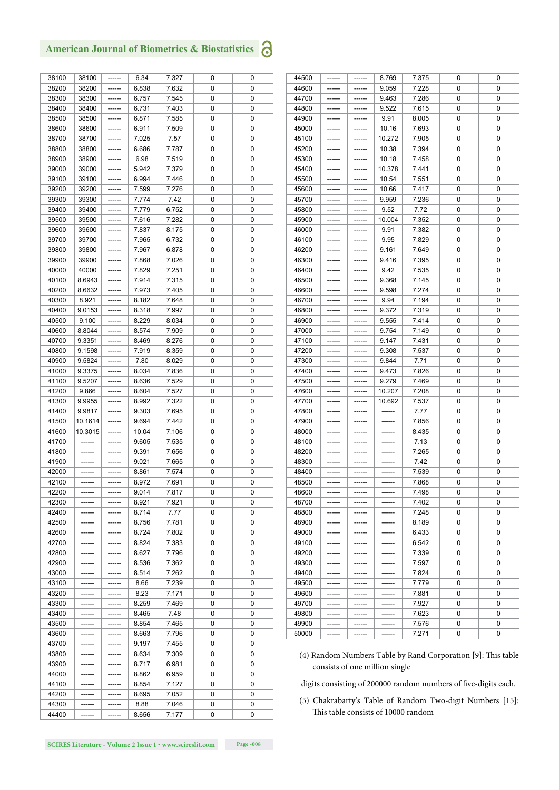| 38100 | 38100   | ------ | 6.34  | 7.327 | 0 | 0 |
|-------|---------|--------|-------|-------|---|---|
| 38200 | 38200   |        | 6.838 | 7.632 | 0 | 0 |
| 38300 | 38300   |        | 6.757 | 7.545 | 0 | 0 |
| 38400 | 38400   |        | 6.731 | 7.403 | 0 | 0 |
| 38500 | 38500   |        | 6.871 | 7.585 | 0 | 0 |
| 38600 | 38600   |        | 6.911 | 7.509 | 0 | 0 |
| 38700 | 38700   |        | 7.025 | 7.57  | 0 | 0 |
|       |         |        |       |       |   |   |
| 38800 | 38800   |        | 6.686 | 7.787 | 0 | 0 |
| 38900 | 38900   |        | 6.98  | 7.519 | 0 | 0 |
| 39000 | 39000   |        | 5.942 | 7.379 | 0 | 0 |
| 39100 | 39100   |        | 6.994 | 7.446 | 0 | 0 |
| 39200 | 39200   |        | 7.599 | 7.276 | 0 | 0 |
| 39300 | 39300   |        | 7.774 | 7.42  | 0 | 0 |
| 39400 | 39400   |        | 7.779 | 6.752 | 0 | 0 |
| 39500 | 39500   |        | 7.616 | 7.282 | 0 | 0 |
| 39600 | 39600   |        | 7.837 | 8.175 | 0 | 0 |
| 39700 | 39700   |        | 7.965 | 6.732 | 0 | 0 |
| 39800 | 39800   |        | 7.967 | 6.878 | 0 | 0 |
| 39900 | 39900   |        | 7.868 | 7.026 | 0 | 0 |
| 40000 | 40000   |        | 7.829 | 7.251 | 0 | 0 |
| 40100 | 8.6943  |        | 7.914 | 7.315 | 0 | 0 |
| 40200 | 8.6632  |        | 7.973 | 7.405 | 0 | 0 |
| 40300 | 8.921   |        | 8.182 | 7.648 | 0 | 0 |
| 40400 | 9.0153  |        | 8.318 | 7.997 | 0 | 0 |
|       |         |        |       |       |   |   |
| 40500 | 9.100   |        | 8.229 | 8.034 | 0 | 0 |
| 40600 | 8.8044  |        | 8.574 | 7.909 | 0 | 0 |
| 40700 | 9.3351  |        | 8.469 | 8.276 | 0 | 0 |
| 40800 | 9.1598  |        | 7.919 | 8.359 | 0 | 0 |
| 40900 | 9.5824  | ------ | 7.80  | 8.029 | 0 | 0 |
| 41000 | 9.3375  |        | 8.034 | 7.836 | 0 | 0 |
| 41100 | 9.5207  |        | 8.636 | 7.529 | 0 | 0 |
| 41200 | 9.866   |        | 8.604 | 7.527 | 0 | 0 |
| 41300 | 9.9955  |        | 8.992 | 7.322 | 0 | 0 |
| 41400 | 9.9817  |        | 9.303 | 7.695 | 0 | 0 |
| 41500 | 10.1614 |        | 9.694 | 7.442 | 0 | 0 |
| 41600 | 10.3015 |        | 10.04 | 7.106 | 0 | 0 |
| 41700 | ------  |        | 9.605 | 7.535 | 0 | 0 |
| 41800 |         |        | 9.391 | 7.656 | 0 | 0 |
| 41900 |         |        | 9.021 | 7.665 | 0 | 0 |
| 42000 |         |        | 8.861 | 7.574 | 0 | 0 |
|       |         |        |       |       |   |   |
| 42100 |         |        | 8.972 | 7.691 | 0 | 0 |
| 42200 |         |        | 9.014 | 7.817 | U | U |
| 42300 |         |        | 8.921 | 7.921 | 0 | 0 |
| 42400 |         |        | 8.714 | 7.77  | 0 | 0 |
| 42500 |         |        | 8.756 | 7.781 | 0 | 0 |
| 42600 |         |        | 8.724 | 7.802 | 0 | 0 |
| 42700 |         |        | 8.824 | 7.383 | 0 | 0 |
| 42800 |         |        | 8.627 | 7.796 | 0 | 0 |
| 42900 |         |        | 8.536 | 7.362 | 0 | 0 |
| 43000 |         |        | 8.514 | 7.262 | 0 | 0 |
| 43100 |         |        | 8.66  | 7.239 | 0 | 0 |
| 43200 |         |        | 8.23  | 7.171 | 0 | 0 |
| 43300 |         |        | 8.259 | 7.469 | 0 | 0 |
| 43400 |         |        | 8.465 | 7.48  | 0 | 0 |
| 43500 |         |        | 8.854 | 7.465 | 0 | 0 |
| 43600 |         |        | 8.663 | 7.796 | 0 | 0 |
|       |         |        |       |       |   |   |
| 43700 |         |        | 9.197 | 7.455 | 0 | 0 |
| 43800 |         |        | 8.634 | 7.309 | 0 | 0 |
| 43900 |         |        | 8.717 | 6.981 | 0 | 0 |
| 44000 |         |        | 8.862 | 6.959 | 0 | 0 |
| 44100 |         |        | 8.854 | 7.127 | 0 | 0 |
| 44200 |         |        | 8.695 | 7.052 | 0 | 0 |
| 44300 |         | -----  | 8.88  | 7.046 | 0 | 0 |
| 44400 |         |        | 8.656 | 7.177 | 0 | 0 |
|       |         |        |       |       |   |   |

| 44500 | ------ | ------- | 8.769  | 7.375 | 0 | 0 |
|-------|--------|---------|--------|-------|---|---|
| 44600 | ------ |         | 9.059  | 7.228 | 0 | 0 |
| 44700 | ------ |         | 9.463  | 7.286 | 0 | 0 |
| 44800 |        |         | 9.522  | 7.615 | 0 | 0 |
| 44900 | ------ | ------  | 9.91   | 8.005 | 0 | 0 |
| 45000 | ------ | ------  | 10.16  | 7.693 | 0 | 0 |
| 45100 | ------ | ------  | 10.272 | 7.905 | 0 | 0 |
| 45200 | ------ | ------  | 10.38  | 7.394 | 0 | 0 |
| 45300 |        |         | 10.18  | 7.458 | 0 | 0 |
| 45400 |        |         | 10.378 | 7.441 | 0 | 0 |
| 45500 | ------ | ------  | 10.54  | 7.551 | 0 | 0 |
| 45600 | ------ |         | 10.66  | 7.417 | 0 | 0 |
| 45700 |        |         | 9.959  | 7.236 | 0 | 0 |
| 45800 |        |         | 9.52   | 7.72  | 0 | 0 |
| 45900 |        |         | 10.004 | 7.352 | 0 | 0 |
| 46000 | ------ | ------  | 9.91   | 7.382 | 0 | 0 |
| 46100 | ------ | ------- | 9.95   | 7.829 | 0 | 0 |
| 46200 | ------ | ------  | 9.161  | 7.649 | 0 | 0 |
| 46300 | ------ | ------  | 9.416  | 7.395 | 0 | 0 |
| 46400 |        |         | 9.42   | 7.535 | 0 | 0 |
| 46500 |        | ------  | 9.368  | 7.145 | 0 | 0 |
| 46600 | ------ | ------  | 9.598  | 7.274 | 0 | 0 |
| 46700 | ------ | ------  | 9.94   | 7.194 | 0 | 0 |
| 46800 |        |         | 9.372  | 7.319 | 0 | 0 |
| 46900 | ------ | ------  | 9.555  | 7.414 | 0 | 0 |
| 47000 |        | ------- | 9.754  | 7.149 | 0 | 0 |
| 47100 | ------ | ------  | 9.147  | 7.431 | 0 | 0 |
| 47200 | ------ | ------  | 9.308  | 7.537 | 0 | 0 |
| 47300 |        | ------  | 9.844  | 7.71  | 0 | 0 |
| 47400 | ------ | ------  | 9.473  | 7.826 | 0 | 0 |
| 47500 | ------ | ------  | 9.279  | 7.469 | 0 | 0 |
| 47600 |        |         | 10.207 | 7.208 | 0 | 0 |
| 47700 | ------ | ------  | 10.692 | 7.537 | 0 | 0 |
| 47800 |        |         | ------ | 7.77  | 0 | 0 |
| 47900 |        |         | ------ | 7.856 | 0 | 0 |
| 48000 | ------ |         | ------ | 8.435 | 0 | 0 |
| 48100 |        |         |        | 7.13  | 0 | 0 |
| 48200 |        |         |        | 7.265 | 0 | 0 |
| 48300 | ------ | ------- | ------ | 7.42  | 0 | 0 |
| 48400 |        |         |        | 7.539 | 0 | 0 |
| 48500 | ------ | ------  | ------ | 7.868 | 0 | 0 |
| 48600 | ------ | ------  | ------ | 7.498 | 0 | 0 |
| 48700 |        |         |        | 7.402 | 0 | 0 |
| 48800 | ------ | ------  | ------ | 7.248 | 0 | 0 |
| 48900 | ------ | ------  | ------ | 8.189 | 0 | 0 |
| 49000 |        |         |        | 6.433 | 0 | 0 |
| 49100 | ------ | ------  | ------ | 6.542 | 0 | 0 |
| 49200 |        |         |        | 7.339 | 0 | 0 |
| 49300 |        | ------  | ------ | 7.597 | 0 | 0 |
| 49400 | ------ | ------  | ------ | 7.824 | 0 | 0 |
| 49500 | ------ |         | ------ | 7.779 | 0 | 0 |
| 49600 | ------ | ------  | ------ | 7.881 | 0 | 0 |
| 49700 | ------ | ------  | ------ | 7.927 | 0 | 0 |
| 49800 | ------ | ------  | ------ | 7.623 | 0 | 0 |
| 49900 | ------ | ------  | ------ | 7.576 | 0 | 0 |
| 50000 | ------ | ------  | ------ | 7.271 | 0 | 0 |

(4) Random Numbers Table by Rand Corporation [9]: This table consists of one million single

digits consisting of 200000 random numbers of five-digits each.

(5) Chakrabarty's Table of Random Two-digit Numbers [15]: This table consists of 10000 random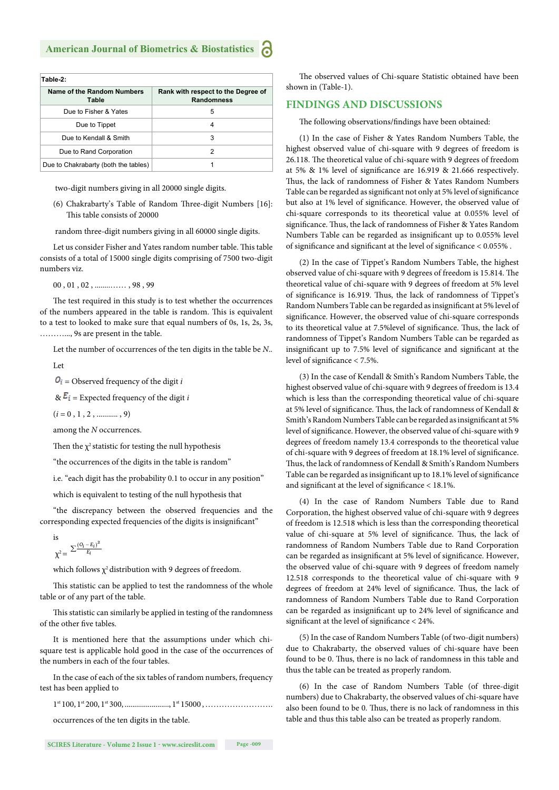| Table-2:                             |                                                         |  |  |  |  |  |
|--------------------------------------|---------------------------------------------------------|--|--|--|--|--|
| Name of the Random Numbers<br>Table  | Rank with respect to the Degree of<br><b>Randomness</b> |  |  |  |  |  |
| Due to Fisher & Yates                | 5                                                       |  |  |  |  |  |
| Due to Tippet                        | 4                                                       |  |  |  |  |  |
| Due to Kendall & Smith               | 3                                                       |  |  |  |  |  |
| Due to Rand Corporation              | 2                                                       |  |  |  |  |  |
| Due to Chakrabarty (both the tables) |                                                         |  |  |  |  |  |

two-digit numbers giving in all 20000 single digits.

(6) Chakrabarty's Table of Random Three-digit Numbers [16]: This table consists of 20000

random three-digit numbers giving in all 60000 single digits.

Let us consider Fisher and Yates random number table. This table consists of a total of 15000 single digits comprising of 7500 two-digit numbers viz.

00 , 01 , 02 , ........…… , 98 , 99

The test required in this study is to test whether the occurrences of the numbers appeared in the table is random. This is equivalent to a test to looked to make sure that equal numbers of 0s, 1s, 2s, 3s, ………..., 9s are present in the table.

Let the number of occurrences of the ten digits in the table be *N*..

Let

 $\mathbf{O}_i$  = Observed frequency of the digit *i* 

 $\& \overline{E_i}$  = Expected frequency of the digit *i* 

 $(i = 0, 1, 2, \dots, 9)$ 

among the *N* occurrences.

Then the  $\chi^2$  statistic for testing the null hypothesis

"the occurrences of the digits in the table is random"

i.e. "each digit has the probability 0.1 to occur in any position"

which is equivalent to testing of the null hypothesis that

"the discrepancy between the observed frequencies and the corresponding expected frequencies of the digits is insignificant"

is  

$$
\chi^2 = \frac{\sum \frac{(O_i - E_i)^2}{E_i}}{\chi^2}
$$

which follows  $\chi^2$  distribution with 9 degrees of freedom.

This statistic can be applied to test the randomness of the whole table or of any part of the table.

This statistic can similarly be applied in testing of the randomness of the other five tables.

It is mentioned here that the assumptions under which chisquare test is applicable hold good in the case of the occurrences of the numbers in each of the four tables.

In the case of each of the six tables of random numbers, frequency test has been applied to

1st 100, 1st 200, 1st 300, ......................., 1st 15000 , …………………….

occurrences of the ten digits in the table.

**SCIRES Literature - Volume 2 Issue 1 - www.scireslit.com Page -009**

The observed values of Chi-square Statistic obtained have been shown in (Table-1).

#### **FINDINGS AND DISCUSSIONS**

The following observations/findings have been obtained:

(1) In the case of Fisher & Yates Random Numbers Table, the highest observed value of chi-square with 9 degrees of freedom is 26.118. The theoretical value of chi-square with 9 degrees of freedom at 5%  $\&$  1% level of significance are 16.919  $\&$  21.666 respectively. Thus, the lack of randomness of Fisher & Yates Random Numbers Table can be regarded as significant not only at 5% level of significance but also at 1% level of significance. However, the observed value of chi-square corresponds to its theoretical value at 0.055% level of significance. Thus, the lack of randomness of Fisher & Yates Random Numbers Table can be regarded as insignificant up to 0.055% level of significance and significant at the level of significance  $< 0.055\%$ .

(2) In the case of Tippet's Random Numbers Table, the highest observed value of chi-square with 9 degrees of freedom is 15.814. The theoretical value of chi-square with 9 degrees of freedom at 5% level of significance is 16.919. Thus, the lack of randomness of Tippet's Random Numbers Table can be regarded as insignificant at 5% level of significance. However, the observed value of chi-square corresponds to its theoretical value at 7.5%level of significance. Thus, the lack of randomness of Tippet's Random Numbers Table can be regarded as insignificant up to 7.5% level of significance and significant at the level of significance < 7.5%.

(3) In the case of Kendall & Smith's Random Numbers Table, the highest observed value of chi-square with 9 degrees of freedom is 13.4 which is less than the corresponding theoretical value of chi-square at 5% level of significance. Thus, the lack of randomness of Kendall & Smith's Random Numbers Table can be regarded as insignificant at 5% level of significance. However, the observed value of chi-square with 9 degrees of freedom namely 13.4 corresponds to the theoretical value of chi-square with 9 degrees of freedom at 18.1% level of significance. Thus, the lack of randomness of Kendall & Smith's Random Numbers Table can be regarded as insignificant up to 18.1% level of significance and significant at the level of significance  $<$  18.1%.

(4) In the case of Random Numbers Table due to Rand Corporation, the highest observed value of chi-square with 9 degrees of freedom is 12.518 which is less than the corresponding theoretical value of chi-square at 5% level of significance. Thus, the lack of randomness of Random Numbers Table due to Rand Corporation can be regarded as insignificant at 5% level of significance. However, the observed value of chi-square with 9 degrees of freedom namely 12.518 corresponds to the theoretical value of chi-square with 9 degrees of freedom at 24% level of significance. Thus, the lack of randomness of Random Numbers Table due to Rand Corporation can be regarded as insignificant up to 24% level of significance and significant at the level of significance  $<$  24%.

(5) In the case of Random Numbers Table (of two-digit numbers) due to Chakrabarty, the observed values of chi-square have been found to be 0. Thus, there is no lack of randomness in this table and thus the table can be treated as properly random.

(6) In the case of Random Numbers Table (of three-digit numbers) due to Chakrabarty, the observed values of chi-square have also been found to be 0. Thus, there is no lack of randomness in this table and thus this table also can be treated as properly random.